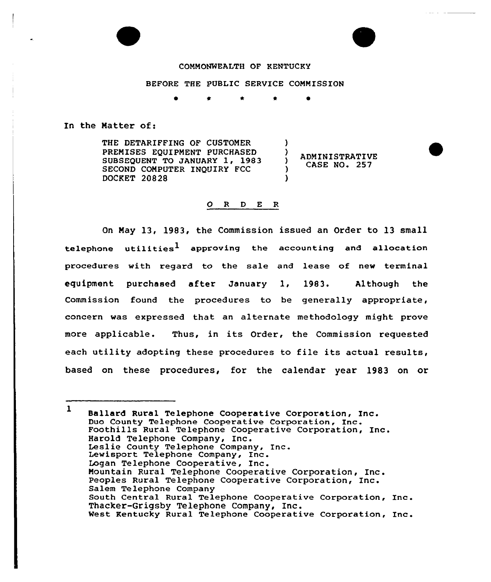## COMMONWEALTH OF KENTUCKY

## BEFORE THE PUBLIC SERVICE COMMISSION

)

)  $\lambda$  $\lambda$ 

)

In the Matter of:

THE DETARIFFING OF CUSTOMER PREMISES EQUIPMENT PURCHASED SUBSEQUENT TO JANUARY 1, 1983 SECOND COMPUTER INQUIRY FCC DOCKET 20828

ADMINISTRATIVE CASE NO. 257

## 0 <sup>R</sup> <sup>D</sup> <sup>E</sup> <sup>R</sup>

On Nay 13, 1983, the Commission issued an Order to 13 small telephone utilities<sup>1</sup> approving the accounting and allocation procedures with regard to the sale and lease of new terminal equipment purchased after January 1, 1983. Although the Commission found the procedures to be generally appropriate, concern was expressed that an alternate methodology might prove more applicable. Thus, in its Order, the Commission requested each utility adopting these procedures to file its actual results, based on these procedures, for the calendar year 1983 on or

<sup>1</sup> Ballard Rural Telephone Cooperative Corporation, Inc.<br>Duo County Telephone Cooperative Corporation, Inc. Foothills Rural Telephone Cooperative Corporation, Inc.<br>Harold Telephone Company, Inc. Leslie County Telephone Company, Inc. Lewisport Telephone Company, Inc. Logan Telephone Cooperative, Inc. Mountain Rural Telephone Cooperative Corporation, Inc. Peoples Rural Telephone Cooperative Corporation, Inc. Salem Telephone Company South Central Rural Telephone Cooperative Corporation, Inc. Thacker-Grigsby Telephone Company, Inc. West Kentucky Rural Telephone Cooperative Corporation, Inc.